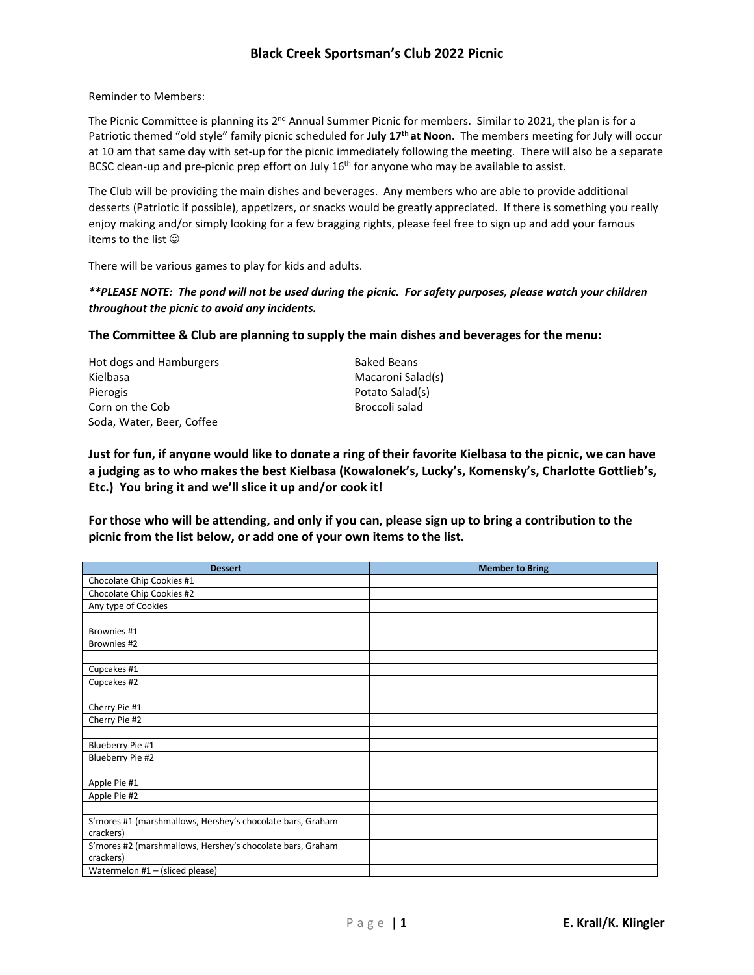## **Black Creek Sportsman's Club 2022 Picnic**

Reminder to Members:

The Picnic Committee is planning its 2<sup>nd</sup> Annual Summer Picnic for members. Similar to 2021, the plan is for a Patriotic themed "old style" family picnic scheduled for **July 17th at Noon**. The members meeting for July will occur at 10 am that same day with set-up for the picnic immediately following the meeting. There will also be a separate BCSC clean-up and pre-picnic prep effort on July 16<sup>th</sup> for anyone who may be available to assist.

The Club will be providing the main dishes and beverages. Any members who are able to provide additional desserts (Patriotic if possible), appetizers, or snacks would be greatly appreciated. If there is something you really enjoy making and/or simply looking for a few bragging rights, please feel free to sign up and add your famous items to the list

There will be various games to play for kids and adults.

## *\*\*PLEASE NOTE: The pond will not be used during the picnic. For safety purposes, please watch your children throughout the picnic to avoid any incidents.*

**The Committee & Club are planning to supply the main dishes and beverages for the menu:**

Hot dogs and Hamburgers **Baked Beans** Kielbasa Macaroni Salad(s) Pierogis **Provides** Potato Salad(s) Corn on the Cob Broccoli salad Soda, Water, Beer, Coffee

**Just for fun, if anyone would like to donate a ring of their favorite Kielbasa to the picnic, we can have a judging as to who makes the best Kielbasa (Kowalonek's, Lucky's, Komensky's, Charlotte Gottlieb's, Etc.) You bring it and we'll slice it up and/or cook it!**

**For those who will be attending, and only if you can, please sign up to bring a contribution to the picnic from the list below, or add one of your own items to the list.**

| <b>Dessert</b>                                             | <b>Member to Bring</b> |
|------------------------------------------------------------|------------------------|
| Chocolate Chip Cookies #1                                  |                        |
| Chocolate Chip Cookies #2                                  |                        |
| Any type of Cookies                                        |                        |
|                                                            |                        |
| Brownies #1                                                |                        |
| Brownies #2                                                |                        |
|                                                            |                        |
| Cupcakes #1                                                |                        |
| Cupcakes #2                                                |                        |
|                                                            |                        |
| Cherry Pie #1                                              |                        |
| Cherry Pie #2                                              |                        |
|                                                            |                        |
| Blueberry Pie #1                                           |                        |
| Blueberry Pie #2                                           |                        |
|                                                            |                        |
| Apple Pie #1                                               |                        |
| Apple Pie #2                                               |                        |
|                                                            |                        |
| S'mores #1 (marshmallows, Hershey's chocolate bars, Graham |                        |
| crackers)                                                  |                        |
| S'mores #2 (marshmallows, Hershey's chocolate bars, Graham |                        |
| crackers)                                                  |                        |
| Watermelon #1 - (sliced please)                            |                        |